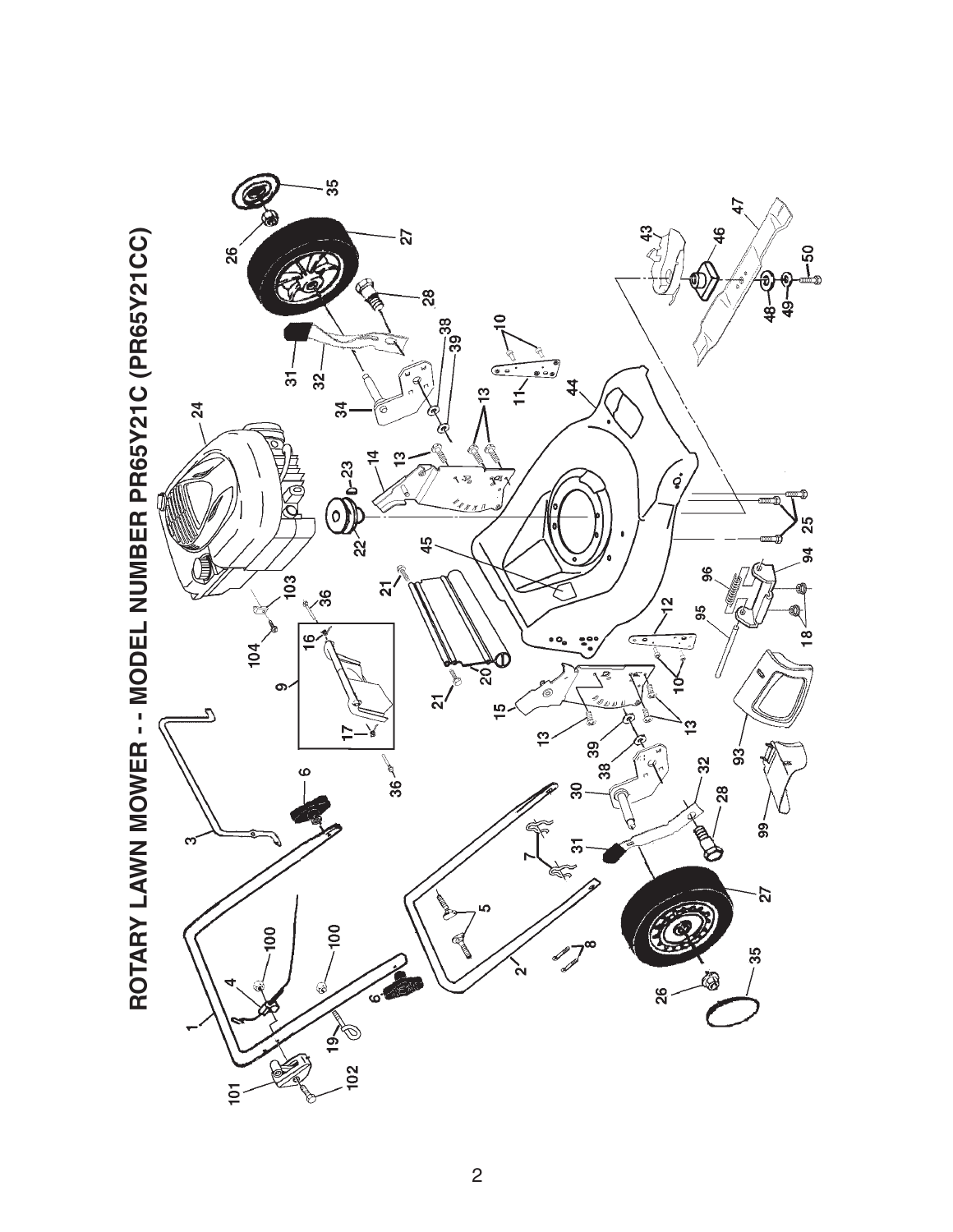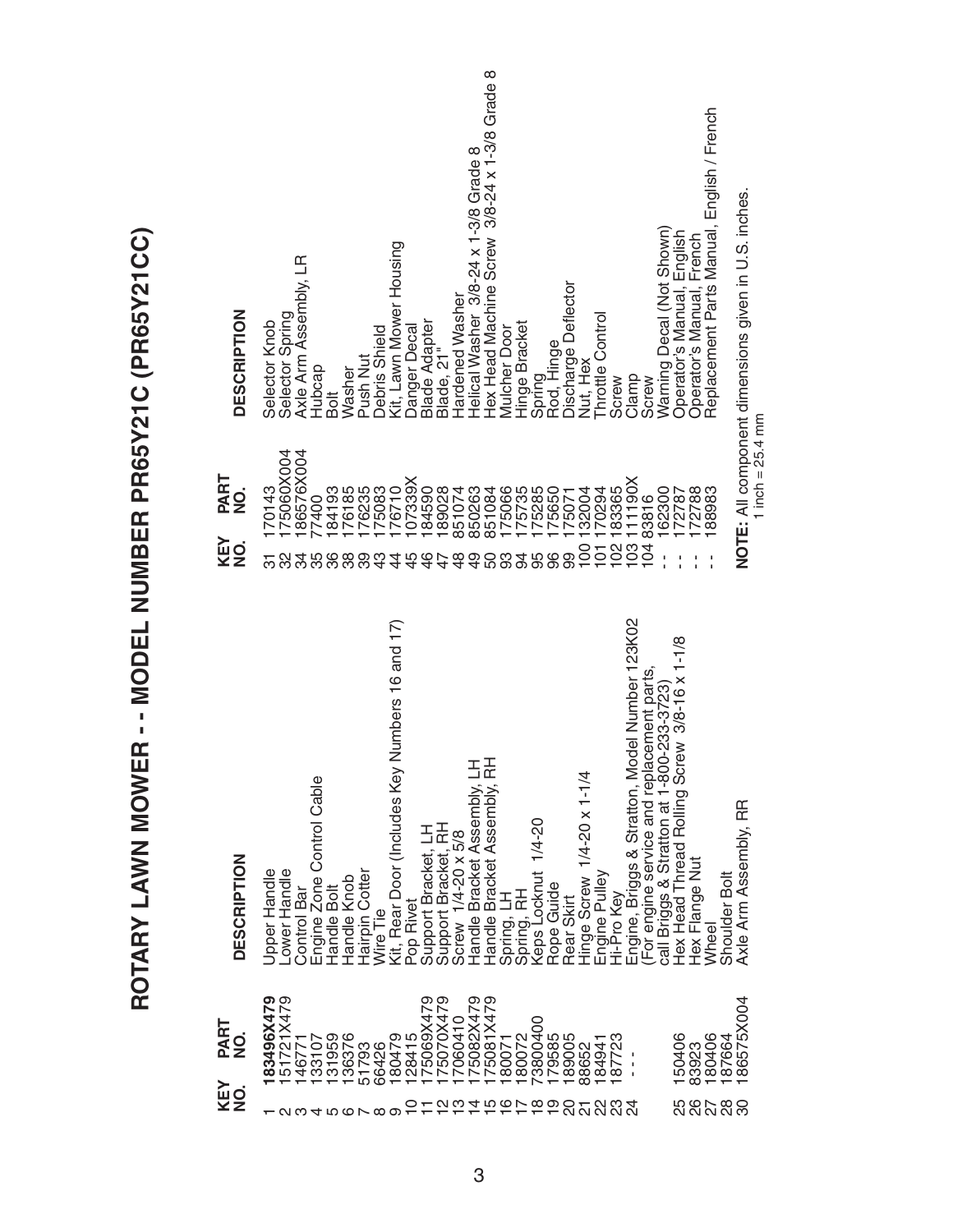| <b>DESCRIPTION</b>                               | Hex Head Machine Screw 3/8-24 x 1-3/8 Grade 8<br>Replacement Parts Manual, English / French<br>Helical Washer 3/8-24 x 1-3/8 Grade 8<br>NOTE: All component dimensions given in U.S. inches.<br>Warning Decal (Not Shown)<br>Operator's Manual, English<br>Operator's Manual, French<br>Kit, Lawn Mower Housing<br>Axle Arm Assembly, LR<br>Discharge Deflector<br><b>Hardened Washer</b><br>Selector Spring<br>Throttle Control<br><b>Blade Adapter</b><br>Selector Knob<br>Hinge Bracket<br>Danger Decal<br><b>Mulcher Door</b><br>Debris Shield<br>Spring<br>Rod, Hinge<br>Blade, 21"<br>Push Nut<br>Nut, Hex<br>Hubcap<br>Washer<br>Clamp<br>Screw<br>Screw<br>Bolt                                                                                    |
|--------------------------------------------------|------------------------------------------------------------------------------------------------------------------------------------------------------------------------------------------------------------------------------------------------------------------------------------------------------------------------------------------------------------------------------------------------------------------------------------------------------------------------------------------------------------------------------------------------------------------------------------------------------------------------------------------------------------------------------------------------------------------------------------------------------------|
| PART<br>$\dot{\mathbf{z}}$<br><b>KEY<br/>NO.</b> | 1 inch = $25.4$ mm<br>186576X004<br>75060X004<br>07339X<br>111190X<br>176235<br>175083<br>176710<br>175066<br>175735<br>175285<br>88983<br>184193<br>76185<br>184590<br>189028<br>851074<br>851084<br>175650<br>170294<br>183365<br>172788<br>70143<br>850263<br>132004<br>162300<br>172787<br>175071<br>83816<br>77400<br>$103 - 103$<br>$\overline{5}$<br>100<br>$\overline{101}$<br>96<br>99<br>38<br>$\frac{6}{4}$<br>$\frac{9}{4}$<br>ლ<br>36<br>89<br>ဘ္<br>ഥ                                                                                                                                                                                                                                                                                        |
| <b>DESCRIPTION</b>                               | Engine, Briggs & Stratton, Model Number 123K02<br>Numbers 16 and 17)<br>ew 3/8-16 x 1-1/8<br>(For engine service and replacement parts,<br>call Briggs & Stratton at 1-800-233-3723<br>Handle Bracket Assembly, LH<br>Handle Bracket Assembly, RH<br>Hex Head Thread Rolling Scr<br>Kit, Rear Door (Includes Key<br>Hinge Screw 1/4-20 x 1-1/4<br>Engine Zone Control Cable<br>Axle Arm Assembly, RR<br>Keps Locknut 1/4-20<br>Support Bracket, RH<br>Support Bracket, LH<br>Screw 1/4-20 x 5/8<br>Hex Flange Nut<br>Upper Handle<br>Lower Handle<br>Hairpin Cotter<br>Engine Pulley<br>Hi-Pro Key<br>Shoulder Bolt<br>Handle Knob<br>Rope Guide<br>Control Bar<br>Handle Bolt<br>Spring, LH<br>Spring, RH<br>Rear Skirt<br>Pop Rivet<br>Wire Tie<br>Wheel |
| PART<br>$\frac{1}{2}$<br><b>KEY</b><br>NO.       | 75069X479<br>175082X479<br>83496X479<br>51721X479<br>75070X479<br>175081X479<br>86575X004<br>7060410<br>73800400<br>131959<br>180479<br>128415<br>179585<br>150406<br>133107<br>136376<br>180072<br>189005<br>87723<br>180406<br>187664<br>180071<br>146771<br>184941<br>83923<br>51793<br>66426<br>88652<br>5<br>202020<br>22<br>$0.00 \times 10^{-1}$<br>တ<br>ಔ<br><u>ດ</u> ຕ<br>ᡪ<br>$\overline{\Omega}$<br>456660                                                                                                                                                                                                                                                                                                                                      |

ROTARY LAWN MOWER -- MODEL NUMBER PR65Y21C (PR65Y21CC) **ROTARY LAWN MOWER - - MODEL NUMBER PR65Y21C (PR65Y21CC)**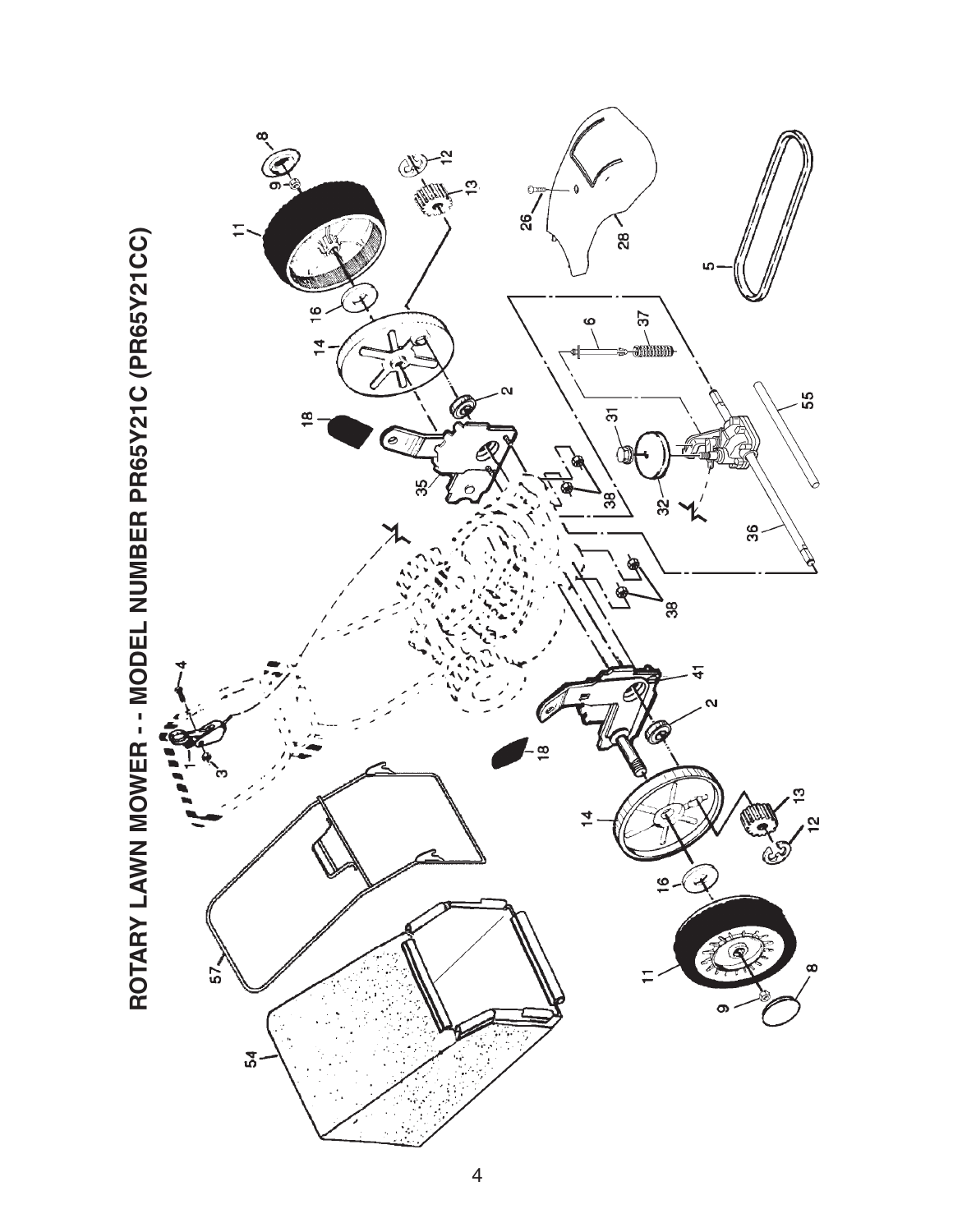

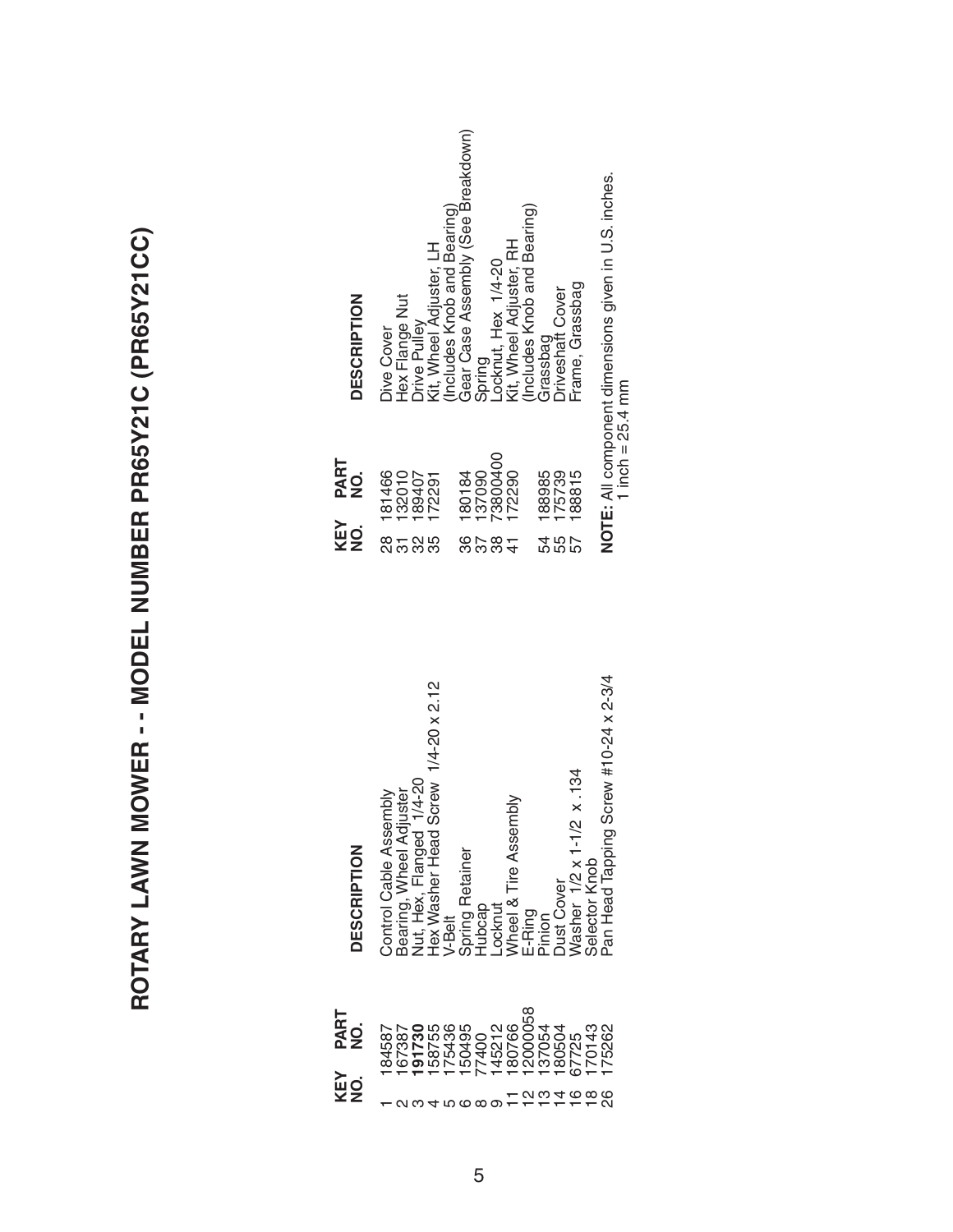ROTARY LAWN MOWER -- MODEL NUMBER PR65Y21C (PR65Y21CC) **ROTARY LAWN MOWER - - MODEL NUMBER PR65Y21C (PR65Y21CC)**

| <b>DESCRIPTION</b>  | Control Cable Assembly | Bearing, Wheel Adjuster | $1/4 - 20$<br>Jut, Hex, Flanged | Hex Washer Head Screw 1/4-20 x 2.12 | V-Belt | Spring Retainer | dubcap | -ocknut | Wheel & Tire Assembly | E-Ring  | ninion | <b>Just Cover</b> | Nasher 1/2 x 1-1/2 x 134 | Selector Knob      | Pan Head Tapping Screw #10-24 x 2-3/4 |
|---------------------|------------------------|-------------------------|---------------------------------|-------------------------------------|--------|-----------------|--------|---------|-----------------------|---------|--------|-------------------|--------------------------|--------------------|---------------------------------------|
| <b>PART<br/>NO.</b> | 84587                  | 167387                  | $\overline{0.21}$<br>191        | 158755                              | 175436 | 150495          | 77400  | 45212   | 180766                | 2000058 | 137054 | 180504            | 67725                    | 70143              | 75262                                 |
| KEY<br>o<br>Z       |                        |                         |                                 |                                     |        | ഥ ധ യ ത         |        |         |                       |         |        | 4                 | $\overline{\circ}$       | $\frac{\infty}{1}$ | ရွ                                    |

| <b>DESCRIPTION</b> | Gear Case Assembly (See Breakdown)<br>Includes Knob and Bearing)<br>Locknut, Hex 1/4-20<br>Kit, Wheel Adjuster, RH<br>(Includes Knob and Bearing)<br>Kit, Wheel Adjuster, LH<br>Frame, Grassbag<br><b>Driveshaft Cover</b><br><b>Hex Flange Nut</b><br><b>Drive Pulley</b><br><b>Dive Cover</b><br>Grassbag<br>Spring |  |
|--------------------|-----------------------------------------------------------------------------------------------------------------------------------------------------------------------------------------------------------------------------------------------------------------------------------------------------------------------|--|
| PART<br>NO.        | 73800400<br>172290<br>181466<br>132010<br>137090<br>188985<br>180184<br>175739<br>188815<br>189407<br>172291                                                                                                                                                                                                          |  |
| KEY<br>NO.         | 8<br>28<br>32<br>86<br>55<br>4<br>55<br>88<br>57<br>35<br>57<br>$\frac{1}{4}$<br>5                                                                                                                                                                                                                                    |  |

NOTE: All component dimensions given in U.S. inches.<br>1 inch = 25.4 mm **NOTE:** All component dimensions given in U.S. inches. 1 inch  $= 25.4$  mm